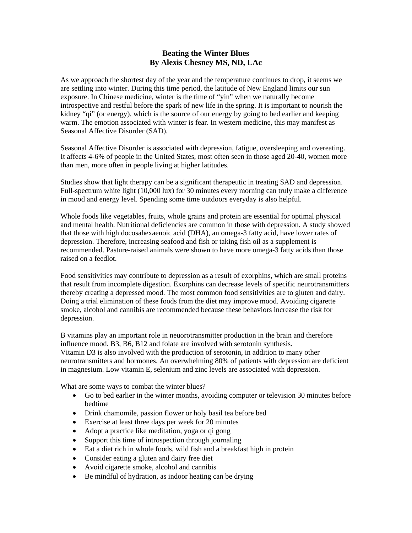## **Beating the Winter Blues By Alexis Chesney MS, ND, LAc**

As we approach the shortest day of the year and the temperature continues to drop, it seems we are settling into winter. During this time period, the latitude of New England limits our sun exposure. In Chinese medicine, winter is the time of "yin" when we naturally become introspective and restful before the spark of new life in the spring. It is important to nourish the kidney "qi" (or energy), which is the source of our energy by going to bed earlier and keeping warm. The emotion associated with winter is fear. In western medicine, this may manifest as Seasonal Affective Disorder (SAD).

Seasonal Affective Disorder is associated with depression, fatigue, oversleeping and overeating. It affects 4-6% of people in the United States, most often seen in those aged 20-40, women more than men, more often in people living at higher latitudes.

Studies show that light therapy can be a significant therapeutic in treating SAD and depression. Full-spectrum white light (10,000 lux) for 30 minutes every morning can truly make a difference in mood and energy level. Spending some time outdoors everyday is also helpful.

Whole foods like vegetables, fruits, whole grains and protein are essential for optimal physical and mental health. Nutritional deficiencies are common in those with depression. A study showed that those with high docosahexaenoic acid (DHA), an omega-3 fatty acid, have lower rates of depression. Therefore, increasing seafood and fish or taking fish oil as a supplement is recommended. Pasture-raised animals were shown to have more omega-3 fatty acids than those raised on a feedlot.

Food sensitivities may contribute to depression as a result of exorphins, which are small proteins that result from incomplete digestion. Exorphins can decrease levels of specific neurotransmitters thereby creating a depressed mood. The most common food sensitivities are to gluten and dairy. Doing a trial elimination of these foods from the diet may improve mood. Avoiding cigarette smoke, alcohol and cannibis are recommended because these behaviors increase the risk for depression.

B vitamins play an important role in neuorotransmitter production in the brain and therefore influence mood. B3, B6, B12 and folate are involved with serotonin synthesis. Vitamin D3 is also involved with the production of serotonin, in addition to many other neurotransmitters and hormones. An overwhelming 80% of patients with depression are deficient in magnesium. Low vitamin E, selenium and zinc levels are associated with depression.

What are some ways to combat the winter blues?

- Go to bed earlier in the winter months, avoiding computer or television 30 minutes before bedtime
- Drink chamomile, passion flower or holy basil tea before bed
- Exercise at least three days per week for 20 minutes
- Adopt a practice like meditation, yoga or qi gong
- Support this time of introspection through journaling
- Eat a diet rich in whole foods, wild fish and a breakfast high in protein
- Consider eating a gluten and dairy free diet
- Avoid cigarette smoke, alcohol and cannibis
- Be mindful of hydration, as indoor heating can be drying